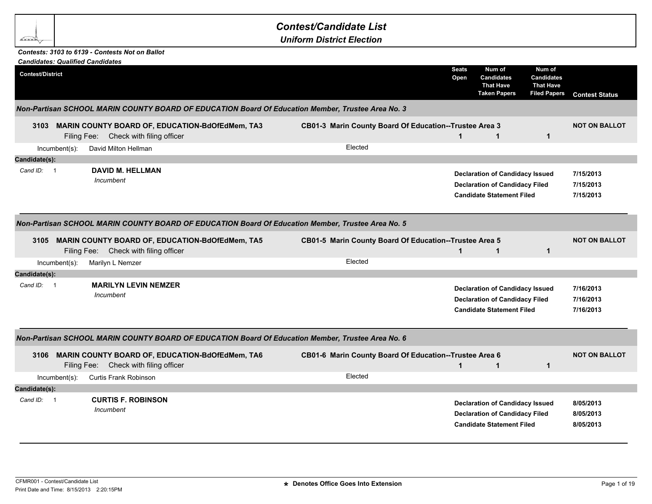| <b>Contest/Candidate List</b> |  |
|-------------------------------|--|
|-------------------------------|--|

*Uniform District Election*

## *Contests: 3103 to 6139 - Contests Not on Ballot*

**BAR** 

|                                        |                  | <b>Candidates: Qualified Candidates</b>                                                       |                                                                                                   |                      |                                                                                                                     |                                                                 |                                     |
|----------------------------------------|------------------|-----------------------------------------------------------------------------------------------|---------------------------------------------------------------------------------------------------|----------------------|---------------------------------------------------------------------------------------------------------------------|-----------------------------------------------------------------|-------------------------------------|
| <b>Contest/District</b>                |                  |                                                                                               |                                                                                                   | <b>Seats</b><br>Open | Num of<br><b>Candidates</b><br><b>That Have</b><br><b>Taken Papers</b>                                              | Num of<br>Candidates<br><b>That Have</b><br><b>Filed Papers</b> | <b>Contest Status</b>               |
|                                        |                  |                                                                                               | Non-Partisan SCHOOL MARIN COUNTY BOARD OF EDUCATION Board Of Education Member, Trustee Area No. 3 |                      |                                                                                                                     |                                                                 |                                     |
|                                        |                  | 3103 MARIN COUNTY BOARD OF, EDUCATION-BdOfEdMem, TA3<br>Filing Fee: Check with filing officer | CB01-3 Marin County Board Of Education--Trustee Area 3                                            | $\mathbf 1$          | $\mathbf{1}$                                                                                                        | $\mathbf{1}$                                                    | <b>NOT ON BALLOT</b>                |
|                                        | $Incumbent(s)$ : | David Milton Hellman                                                                          | Elected                                                                                           |                      |                                                                                                                     |                                                                 |                                     |
| Candidate(s):                          |                  |                                                                                               |                                                                                                   |                      |                                                                                                                     |                                                                 |                                     |
| Cand ID:<br>$\overline{\phantom{0}}$ 1 |                  | <b>DAVID M. HELLMAN</b><br>Incumbent                                                          |                                                                                                   |                      | <b>Declaration of Candidacy Issued</b><br><b>Declaration of Candidacy Filed</b><br><b>Candidate Statement Filed</b> |                                                                 | 7/15/2013<br>7/15/2013<br>7/15/2013 |
|                                        |                  |                                                                                               | Non-Partisan SCHOOL MARIN COUNTY BOARD OF EDUCATION Board Of Education Member, Trustee Area No. 5 |                      |                                                                                                                     |                                                                 |                                     |
|                                        |                  | 3105 MARIN COUNTY BOARD OF, EDUCATION-BdOfEdMem, TA5<br>Filing Fee: Check with filing officer | CB01-5 Marin County Board Of Education--Trustee Area 5                                            | $\mathbf 1$          | $\mathbf 1$                                                                                                         | $\mathbf{1}$                                                    | <b>NOT ON BALLOT</b>                |
|                                        | $Incumbent(s)$ : | Marilyn L Nemzer                                                                              | Elected                                                                                           |                      |                                                                                                                     |                                                                 |                                     |
| Candidate(s):                          |                  |                                                                                               |                                                                                                   |                      |                                                                                                                     |                                                                 |                                     |
| Cand ID: 1                             |                  | <b>MARILYN LEVIN NEMZER</b><br>Incumbent                                                      |                                                                                                   |                      | <b>Declaration of Candidacy Issued</b><br><b>Declaration of Candidacy Filed</b><br><b>Candidate Statement Filed</b> |                                                                 | 7/16/2013<br>7/16/2013<br>7/16/2013 |
|                                        |                  |                                                                                               | Non-Partisan SCHOOL MARIN COUNTY BOARD OF EDUCATION Board Of Education Member, Trustee Area No. 6 |                      |                                                                                                                     |                                                                 |                                     |
| 3106                                   |                  | MARIN COUNTY BOARD OF, EDUCATION-BdOfEdMem, TA6<br>Filing Fee: Check with filing officer      | CB01-6 Marin County Board Of Education--Trustee Area 6                                            | $\blacktriangleleft$ | $\mathbf{1}$                                                                                                        | $\mathbf{1}$                                                    | <b>NOT ON BALLOT</b>                |
|                                        | Incumbent(s):    | Curtis Frank Robinson                                                                         | Elected                                                                                           |                      |                                                                                                                     |                                                                 |                                     |
| Candidate(s):                          |                  |                                                                                               |                                                                                                   |                      |                                                                                                                     |                                                                 |                                     |
| Cand ID:<br>$\overline{\phantom{0}}$ 1 |                  | <b>CURTIS F. ROBINSON</b><br>Incumbent                                                        |                                                                                                   |                      | <b>Declaration of Candidacy Issued</b><br><b>Declaration of Candidacy Filed</b><br><b>Candidate Statement Filed</b> |                                                                 | 8/05/2013<br>8/05/2013<br>8/05/2013 |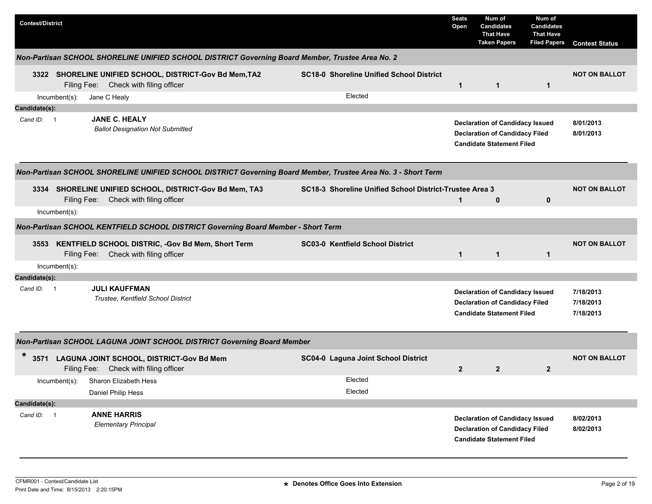| <b>Contest/District</b> |                                                                                                               |                                                         | <b>Seats</b><br>Open | Num of<br><b>Candidates</b><br><b>That Have</b><br><b>Taken Papers</b>                                              | Num of<br><b>Candidates</b><br><b>That Have</b><br><b>Filed Papers</b> | <b>Contest Status</b>               |
|-------------------------|---------------------------------------------------------------------------------------------------------------|---------------------------------------------------------|----------------------|---------------------------------------------------------------------------------------------------------------------|------------------------------------------------------------------------|-------------------------------------|
|                         | Non-Partisan SCHOOL SHORELINE UNIFIED SCHOOL DISTRICT Governing Board Member, Trustee Area No. 2              |                                                         |                      |                                                                                                                     |                                                                        |                                     |
|                         | 3322 SHORELINE UNIFIED SCHOOL, DISTRICT-Gov Bd Mem, TA2<br>Filing Fee: Check with filing officer              | <b>SC18-0 Shoreline Unified School District</b>         | $\mathbf{1}$         | $\mathbf 1$                                                                                                         | 1                                                                      | <b>NOT ON BALLOT</b>                |
| Incumbent(s):           | Jane C Healy                                                                                                  | Elected                                                 |                      |                                                                                                                     |                                                                        |                                     |
| Candidate(s):           |                                                                                                               |                                                         |                      |                                                                                                                     |                                                                        |                                     |
| Cand ID: 1              | <b>JANE C. HEALY</b><br><b>Ballot Designation Not Submitted</b>                                               |                                                         |                      | <b>Declaration of Candidacy Issued</b><br><b>Declaration of Candidacy Filed</b><br><b>Candidate Statement Filed</b> |                                                                        | 8/01/2013<br>8/01/2013              |
|                         | Non-Partisan SCHOOL SHORELINE UNIFIED SCHOOL DISTRICT Governing Board Member, Trustee Area No. 3 - Short Term |                                                         |                      |                                                                                                                     |                                                                        |                                     |
|                         | 3334 SHORELINE UNIFIED SCHOOL, DISTRICT-Gov Bd Mem, TA3<br>Filing Fee: Check with filing officer              | SC18-3 Shoreline Unified School District-Trustee Area 3 | $\mathbf{1}$         | $\mathbf 0$                                                                                                         | 0                                                                      | <b>NOT ON BALLOT</b>                |
| $Incumbent(s)$ :        |                                                                                                               |                                                         |                      |                                                                                                                     |                                                                        |                                     |
|                         | Non-Partisan SCHOOL KENTFIELD SCHOOL DISTRICT Governing Board Member - Short Term                             |                                                         |                      |                                                                                                                     |                                                                        |                                     |
| 3553                    | KENTFIELD SCHOOL DISTRIC, -Gov Bd Mem, Short Term<br>Filing Fee: Check with filing officer                    | SC03-0 Kentfield School District                        | $\mathbf{1}$         | $\mathbf{1}$                                                                                                        | $\mathbf{1}$                                                           | <b>NOT ON BALLOT</b>                |
| Incumbent(s):           |                                                                                                               |                                                         |                      |                                                                                                                     |                                                                        |                                     |
| Candidate(s):           |                                                                                                               |                                                         |                      |                                                                                                                     |                                                                        |                                     |
| Cand ID: 1              | <b>JULI KAUFFMAN</b><br>Trustee, Kentfield School District                                                    |                                                         |                      | <b>Declaration of Candidacy Issued</b><br><b>Declaration of Candidacy Filed</b><br><b>Candidate Statement Filed</b> |                                                                        | 7/18/2013<br>7/18/2013<br>7/18/2013 |
|                         | Non-Partisan SCHOOL LAGUNA JOINT SCHOOL DISTRICT Governing Board Member                                       |                                                         |                      |                                                                                                                     |                                                                        |                                     |
| $\ast$                  | 3571 LAGUNA JOINT SCHOOL, DISTRICT-Gov Bd Mem<br>Filing Fee: Check with filing officer                        | SC04-0 Laguna Joint School District                     | $\mathbf{2}$         | $\mathbf{2}$                                                                                                        | $\mathbf{2}$                                                           | <b>NOT ON BALLOT</b>                |
|                         | Incumbent(s): Sharon Elizabeth Hess<br>Daniel Philip Hess                                                     | Elected<br>Elected                                      |                      |                                                                                                                     |                                                                        |                                     |
| Candidate(s):           |                                                                                                               |                                                         |                      |                                                                                                                     |                                                                        |                                     |
| Cand ID: 1              | <b>ANNE HARRIS</b><br><b>Elementary Principal</b>                                                             |                                                         |                      | <b>Declaration of Candidacy Issued</b><br><b>Declaration of Candidacy Filed</b><br><b>Candidate Statement Filed</b> |                                                                        | 8/02/2013<br>8/02/2013              |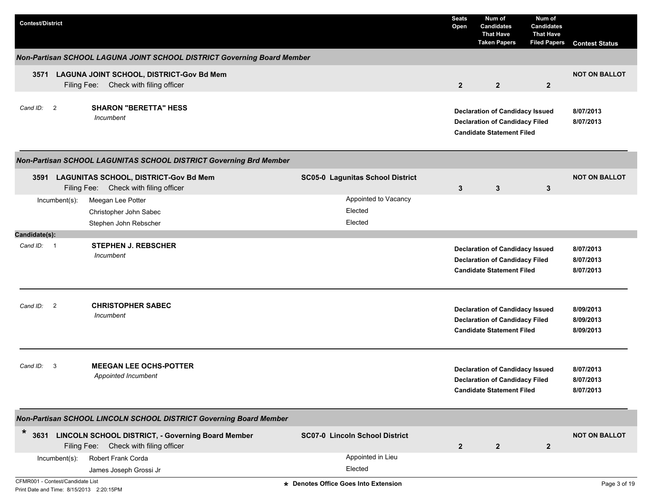| <b>Contest/District</b>                             |                                                                                                 |                                         | <b>Seats</b><br>Open | Num of<br><b>Candidates</b><br><b>That Have</b><br><b>Taken Papers</b>                                              | Num of<br><b>Candidates</b><br><b>That Have</b><br><b>Filed Papers</b> | <b>Contest Status</b>               |
|-----------------------------------------------------|-------------------------------------------------------------------------------------------------|-----------------------------------------|----------------------|---------------------------------------------------------------------------------------------------------------------|------------------------------------------------------------------------|-------------------------------------|
|                                                     | Non-Partisan SCHOOL LAGUNA JOINT SCHOOL DISTRICT Governing Board Member                         |                                         |                      |                                                                                                                     |                                                                        |                                     |
| Filing Fee:                                         | 3571 LAGUNA JOINT SCHOOL, DISTRICT-Gov Bd Mem<br>Check with filing officer                      |                                         | $\overline{2}$       | $\overline{2}$                                                                                                      | $\overline{2}$                                                         | <b>NOT ON BALLOT</b>                |
| $\overline{\phantom{0}}$<br>Cand ID:<br>Incumbent   | <b>SHARON "BERETTA" HESS</b>                                                                    |                                         |                      | <b>Declaration of Candidacy Issued</b><br><b>Declaration of Candidacy Filed</b><br><b>Candidate Statement Filed</b> |                                                                        | 8/07/2013<br>8/07/2013              |
|                                                     | Non-Partisan SCHOOL LAGUNITAS SCHOOL DISTRICT Governing Brd Member                              |                                         |                      |                                                                                                                     |                                                                        |                                     |
|                                                     | 3591 LAGUNITAS SCHOOL, DISTRICT-Gov Bd Mem<br>Filing Fee: Check with filing officer             | <b>SC05-0 Lagunitas School District</b> | 3                    | 3                                                                                                                   | 3                                                                      | <b>NOT ON BALLOT</b>                |
| Meegan Lee Potter<br>$Incumbent(s)$ :               | Christopher John Sabec                                                                          | Appointed to Vacancy<br>Elected         |                      |                                                                                                                     |                                                                        |                                     |
| Candidate(s):                                       | Stephen John Rebscher                                                                           | Elected                                 |                      |                                                                                                                     |                                                                        |                                     |
| Cand ID: 1<br>Incumbent                             | <b>STEPHEN J. REBSCHER</b>                                                                      |                                         |                      | <b>Declaration of Candidacy Issued</b><br><b>Declaration of Candidacy Filed</b><br><b>Candidate Statement Filed</b> |                                                                        | 8/07/2013<br>8/07/2013<br>8/07/2013 |
| Cand ID:<br>$\overline{\phantom{0}}^2$<br>Incumbent | <b>CHRISTOPHER SABEC</b>                                                                        |                                         |                      | <b>Declaration of Candidacy Issued</b><br><b>Declaration of Candidacy Filed</b><br><b>Candidate Statement Filed</b> |                                                                        | 8/09/2013<br>8/09/2013<br>8/09/2013 |
| Cand ID:<br>-3                                      | <b>MEEGAN LEE OCHS-POTTER</b><br>Appointed Incumbent                                            |                                         |                      | <b>Declaration of Candidacy Issued</b><br><b>Declaration of Candidacy Filed</b><br><b>Candidate Statement Filed</b> |                                                                        | 8/07/2013<br>8/07/2013<br>8/07/2013 |
|                                                     | Non-Partisan SCHOOL LINCOLN SCHOOL DISTRICT Governing Board Member                              |                                         |                      |                                                                                                                     |                                                                        |                                     |
| $\ast$                                              | 3631 LINCOLN SCHOOL DISTRICT, - Governing Board Member<br>Filing Fee: Check with filing officer | <b>SC07-0 Lincoln School District</b>   | $\overline{2}$       | $\mathbf{2}$                                                                                                        | $\mathbf{2}$                                                           | <b>NOT ON BALLOT</b>                |
| Robert Frank Corda<br>Incumbent(s):                 |                                                                                                 | Appointed in Lieu                       |                      |                                                                                                                     |                                                                        |                                     |
|                                                     | James Joseph Grossi Jr                                                                          | Elected                                 |                      |                                                                                                                     |                                                                        |                                     |
| CFMR001 - Contest/Candidate List                    |                                                                                                 | * Denotes Office Goes Into Extension    |                      |                                                                                                                     |                                                                        | Page 3 of 19                        |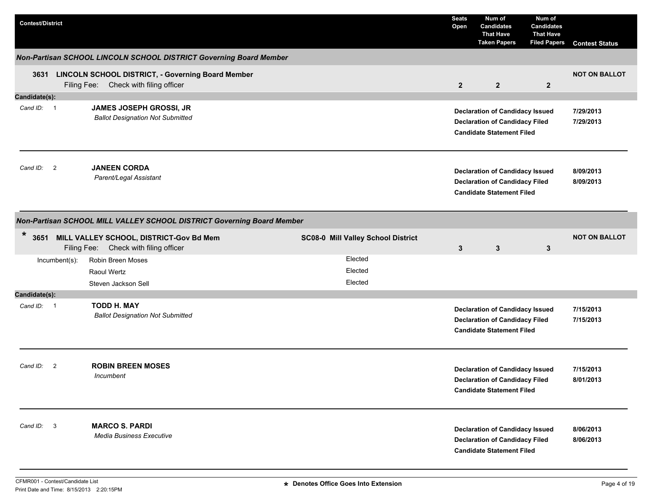| <b>Contest/District</b>    |                                                                        |                                                                                                 |                                    | <b>Seats</b><br>Open | Num of<br><b>Candidates</b><br><b>That Have</b><br><b>Taken Papers</b>                                              | Num of<br><b>Candidates</b><br><b>That Have</b><br><b>Filed Papers</b> | <b>Contest Status</b>  |  |  |  |  |
|----------------------------|------------------------------------------------------------------------|-------------------------------------------------------------------------------------------------|------------------------------------|----------------------|---------------------------------------------------------------------------------------------------------------------|------------------------------------------------------------------------|------------------------|--|--|--|--|
|                            |                                                                        | Non-Partisan SCHOOL LINCOLN SCHOOL DISTRICT Governing Board Member                              |                                    |                      |                                                                                                                     |                                                                        |                        |  |  |  |  |
|                            |                                                                        | 3631 LINCOLN SCHOOL DISTRICT, - Governing Board Member<br>Filing Fee: Check with filing officer |                                    | $\overline{2}$       | $\overline{2}$                                                                                                      | $\mathbf{2}$                                                           | <b>NOT ON BALLOT</b>   |  |  |  |  |
| Candidate(s):              |                                                                        |                                                                                                 |                                    |                      |                                                                                                                     |                                                                        |                        |  |  |  |  |
| Cand ID: 1                 |                                                                        | JAMES JOSEPH GROSSI, JR<br><b>Ballot Designation Not Submitted</b>                              |                                    |                      | <b>Declaration of Candidacy Issued</b><br><b>Declaration of Candidacy Filed</b><br><b>Candidate Statement Filed</b> |                                                                        | 7/29/2013<br>7/29/2013 |  |  |  |  |
| Cand ID: 2                 |                                                                        | <b>JANEEN CORDA</b><br>Parent/Legal Assistant                                                   |                                    |                      | <b>Declaration of Candidacy Issued</b><br><b>Declaration of Candidacy Filed</b><br><b>Candidate Statement Filed</b> |                                                                        | 8/09/2013<br>8/09/2013 |  |  |  |  |
|                            | Non-Partisan SCHOOL MILL VALLEY SCHOOL DISTRICT Governing Board Member |                                                                                                 |                                    |                      |                                                                                                                     |                                                                        |                        |  |  |  |  |
| $\ast$                     |                                                                        | 3651 MILL VALLEY SCHOOL, DISTRICT-Gov Bd Mem<br>Filing Fee: Check with filing officer           | SC08-0 Mill Valley School District | 3                    | $\mathbf{3}$                                                                                                        | 3                                                                      | <b>NOT ON BALLOT</b>   |  |  |  |  |
|                            | Incumbent(s):                                                          | Robin Breen Moses                                                                               | Elected                            |                      |                                                                                                                     |                                                                        |                        |  |  |  |  |
|                            |                                                                        | Raoul Wertz                                                                                     | Elected                            |                      |                                                                                                                     |                                                                        |                        |  |  |  |  |
|                            |                                                                        | Steven Jackson Sell                                                                             | Elected                            |                      |                                                                                                                     |                                                                        |                        |  |  |  |  |
| Candidate(s):              |                                                                        |                                                                                                 |                                    |                      |                                                                                                                     |                                                                        |                        |  |  |  |  |
| Cand ID: 1                 |                                                                        | <b>TODD H. MAY</b><br><b>Ballot Designation Not Submitted</b>                                   |                                    |                      | <b>Declaration of Candidacy Issued</b><br><b>Declaration of Candidacy Filed</b><br><b>Candidate Statement Filed</b> |                                                                        | 7/15/2013<br>7/15/2013 |  |  |  |  |
| Cand ID:<br>$\overline{2}$ |                                                                        | <b>ROBIN BREEN MOSES</b><br>Incumbent                                                           |                                    |                      | <b>Declaration of Candidacy Issued</b><br><b>Declaration of Candidacy Filed</b><br><b>Candidate Statement Filed</b> |                                                                        | 7/15/2013<br>8/01/2013 |  |  |  |  |
| Cand ID: 3                 |                                                                        | <b>MARCO S. PARDI</b><br><b>Media Business Executive</b>                                        |                                    |                      | <b>Declaration of Candidacy Issued</b><br><b>Declaration of Candidacy Filed</b><br><b>Candidate Statement Filed</b> |                                                                        | 8/06/2013<br>8/06/2013 |  |  |  |  |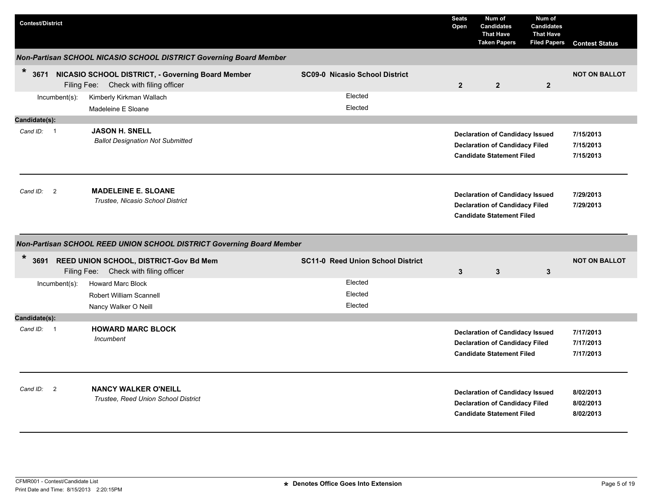| <b>Contest/District</b>    |                                                                                                 |                                          | <b>Seats</b><br>Open | Num of<br><b>Candidates</b><br><b>That Have</b><br><b>Taken Papers</b>                                              | Num of<br><b>Candidates</b><br><b>That Have</b><br><b>Filed Papers</b> | <b>Contest Status</b>               |
|----------------------------|-------------------------------------------------------------------------------------------------|------------------------------------------|----------------------|---------------------------------------------------------------------------------------------------------------------|------------------------------------------------------------------------|-------------------------------------|
|                            | Non-Partisan SCHOOL NICASIO SCHOOL DISTRICT Governing Board Member                              |                                          |                      |                                                                                                                     |                                                                        |                                     |
| $\star$                    | 3671 NICASIO SCHOOL DISTRICT, - Governing Board Member<br>Filing Fee: Check with filing officer | <b>SC09-0 Nicasio School District</b>    | $\overline{2}$       | $\overline{2}$                                                                                                      | $\mathbf{2}$                                                           | <b>NOT ON BALLOT</b>                |
| Incumbent(s):              | Kimberly Kirkman Wallach<br>Madeleine E Sloane                                                  | Elected<br>Elected                       |                      |                                                                                                                     |                                                                        |                                     |
| Candidate(s):              |                                                                                                 |                                          |                      |                                                                                                                     |                                                                        |                                     |
| Cand ID: 1                 | <b>JASON H. SNELL</b><br><b>Ballot Designation Not Submitted</b>                                |                                          |                      | <b>Declaration of Candidacy Issued</b><br><b>Declaration of Candidacy Filed</b><br><b>Candidate Statement Filed</b> |                                                                        | 7/15/2013<br>7/15/2013<br>7/15/2013 |
| Cand ID:<br>$\overline{2}$ | <b>MADELEINE E. SLOANE</b><br>Trustee, Nicasio School District                                  |                                          |                      | <b>Declaration of Candidacy Issued</b><br><b>Declaration of Candidacy Filed</b><br><b>Candidate Statement Filed</b> |                                                                        | 7/29/2013<br>7/29/2013              |
|                            | Non-Partisan SCHOOL REED UNION SCHOOL DISTRICT Governing Board Member                           |                                          |                      |                                                                                                                     |                                                                        |                                     |
| $\ast$                     | 3691 REED UNION SCHOOL, DISTRICT-Gov Bd Mem<br>Filing Fee: Check with filing officer            | <b>SC11-0 Reed Union School District</b> | $\mathbf{3}$         | $\mathbf{3}$                                                                                                        | 3                                                                      | <b>NOT ON BALLOT</b>                |
| Incumbent(s):              | <b>Howard Marc Block</b><br><b>Robert William Scannell</b><br>Nancy Walker O Neill              | Elected<br>Elected<br>Elected            |                      |                                                                                                                     |                                                                        |                                     |
| Candidate(s):              |                                                                                                 |                                          |                      |                                                                                                                     |                                                                        |                                     |
| Cand $ID: 1$               | <b>HOWARD MARC BLOCK</b><br>Incumbent                                                           |                                          |                      | <b>Declaration of Candidacy Issued</b><br><b>Declaration of Candidacy Filed</b><br><b>Candidate Statement Filed</b> |                                                                        | 7/17/2013<br>7/17/2013<br>7/17/2013 |
| $\overline{2}$<br>Cand ID: | <b>NANCY WALKER O'NEILL</b><br>Trustee, Reed Union School District                              |                                          |                      | <b>Declaration of Candidacy Issued</b><br><b>Declaration of Candidacy Filed</b><br><b>Candidate Statement Filed</b> |                                                                        | 8/02/2013<br>8/02/2013<br>8/02/2013 |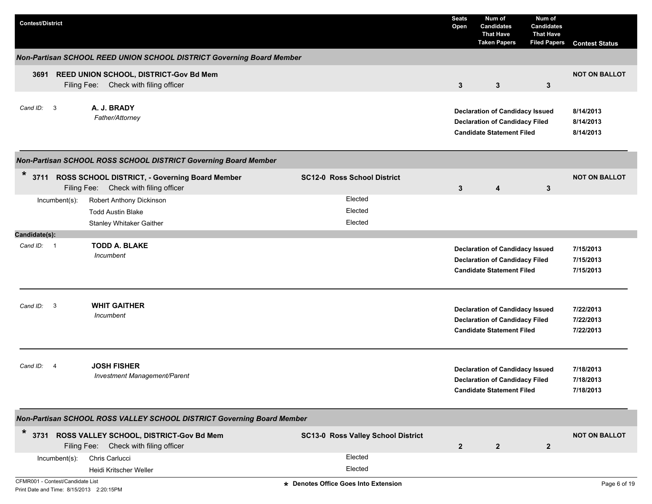| <b>Contest/District</b>                                                      |                                                                                              |                                      | <b>Seats</b><br>Open | Num of<br><b>Candidates</b><br><b>That Have</b><br><b>Taken Papers</b>                                              | Num of<br><b>Candidates</b><br><b>That Have</b><br><b>Filed Papers</b> | <b>Contest Status</b>               |
|------------------------------------------------------------------------------|----------------------------------------------------------------------------------------------|--------------------------------------|----------------------|---------------------------------------------------------------------------------------------------------------------|------------------------------------------------------------------------|-------------------------------------|
|                                                                              | Non-Partisan SCHOOL REED UNION SCHOOL DISTRICT Governing Board Member                        |                                      |                      |                                                                                                                     |                                                                        |                                     |
| 3691                                                                         | REED UNION SCHOOL, DISTRICT-Gov Bd Mem<br>Filing Fee: Check with filing officer              |                                      | 3                    | 3                                                                                                                   | $\mathbf{3}$                                                           | <b>NOT ON BALLOT</b>                |
| Cand $ID: 3$                                                                 | A. J. BRADY<br>Father/Attorney                                                               |                                      |                      | <b>Declaration of Candidacy Issued</b><br><b>Declaration of Candidacy Filed</b><br><b>Candidate Statement Filed</b> |                                                                        | 8/14/2013<br>8/14/2013<br>8/14/2013 |
|                                                                              | Non-Partisan SCHOOL ROSS SCHOOL DISTRICT Governing Board Member                              |                                      |                      |                                                                                                                     |                                                                        |                                     |
| $\star$                                                                      | 3711 ROSS SCHOOL DISTRICT, - Governing Board Member<br>Filing Fee: Check with filing officer | <b>SC12-0 Ross School District</b>   | 3                    | 4                                                                                                                   | $\mathbf{3}$                                                           | <b>NOT ON BALLOT</b>                |
| $Incumbent(s)$ :                                                             | Robert Anthony Dickinson                                                                     | Elected                              |                      |                                                                                                                     |                                                                        |                                     |
|                                                                              | <b>Todd Austin Blake</b>                                                                     | Elected                              |                      |                                                                                                                     |                                                                        |                                     |
|                                                                              | Stanley Whitaker Gaither                                                                     | Elected                              |                      |                                                                                                                     |                                                                        |                                     |
| Candidate(s):                                                                |                                                                                              |                                      |                      |                                                                                                                     |                                                                        |                                     |
| Cand ID: 1                                                                   | <b>TODD A. BLAKE</b><br>Incumbent                                                            |                                      |                      | <b>Declaration of Candidacy Issued</b><br><b>Declaration of Candidacy Filed</b><br><b>Candidate Statement Filed</b> |                                                                        | 7/15/2013<br>7/15/2013<br>7/15/2013 |
| Cand ID: 3                                                                   | <b>WHIT GAITHER</b><br>Incumbent                                                             |                                      |                      | <b>Declaration of Candidacy Issued</b><br><b>Declaration of Candidacy Filed</b><br><b>Candidate Statement Filed</b> |                                                                        | 7/22/2013<br>7/22/2013<br>7/22/2013 |
| Cand ID:<br>-4                                                               | <b>JOSH FISHER</b><br>Investment Management/Parent                                           |                                      |                      | <b>Declaration of Candidacy Issued</b><br><b>Declaration of Candidacy Filed</b><br><b>Candidate Statement Filed</b> |                                                                        | 7/18/2013<br>7/18/2013<br>7/18/2013 |
|                                                                              | Non-Partisan SCHOOL ROSS VALLEY SCHOOL DISTRICT Governing Board Member                       |                                      |                      |                                                                                                                     |                                                                        |                                     |
| $\ast$                                                                       | 3731 ROSS VALLEY SCHOOL, DISTRICT-Gov Bd Mem<br>Filing Fee: Check with filing officer        | SC13-0 Ross Valley School District   | $\overline{2}$       | $\mathbf{2}$                                                                                                        | $\mathbf{2}$                                                           | <b>NOT ON BALLOT</b>                |
| Incumbent(s):                                                                | Chris Carlucci                                                                               | Elected                              |                      |                                                                                                                     |                                                                        |                                     |
|                                                                              | Heidi Kritscher Weller                                                                       | Elected                              |                      |                                                                                                                     |                                                                        |                                     |
| CFMR001 - Contest/Candidate List<br>Print Date and Time: 8/15/2013 2:20:15PM |                                                                                              | * Denotes Office Goes Into Extension |                      |                                                                                                                     |                                                                        | Page 6 of 19                        |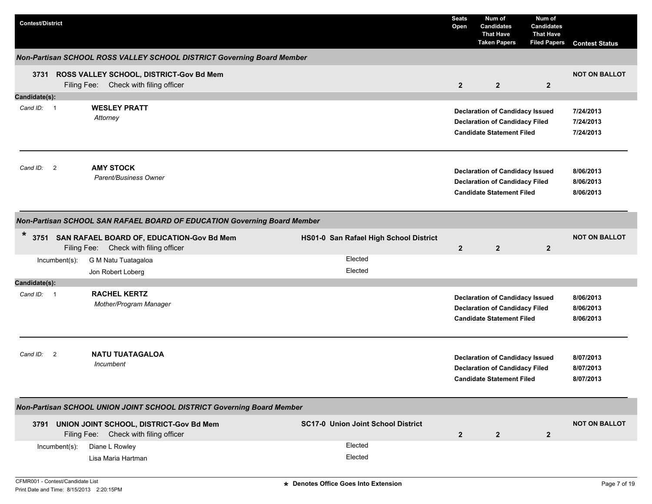| <b>Contest/District</b> |                                                                                          |                                           | <b>Seats</b><br>Open | Num of<br><b>Candidates</b><br><b>That Have</b><br><b>Taken Papers</b>                                              | Num of<br><b>Candidates</b><br><b>That Have</b><br><b>Filed Papers</b> | <b>Contest Status</b>               |
|-------------------------|------------------------------------------------------------------------------------------|-------------------------------------------|----------------------|---------------------------------------------------------------------------------------------------------------------|------------------------------------------------------------------------|-------------------------------------|
|                         | Non-Partisan SCHOOL ROSS VALLEY SCHOOL DISTRICT Governing Board Member                   |                                           |                      |                                                                                                                     |                                                                        |                                     |
|                         | 3731 ROSS VALLEY SCHOOL, DISTRICT-Gov Bd Mem<br>Check with filing officer<br>Filing Fee: |                                           | $\overline{2}$       | $\overline{2}$                                                                                                      | $\overline{2}$                                                         | <b>NOT ON BALLOT</b>                |
| Candidate(s):           |                                                                                          |                                           |                      |                                                                                                                     |                                                                        |                                     |
| Cand ID: 1              | <b>WESLEY PRATT</b><br>Attorney                                                          |                                           |                      | <b>Declaration of Candidacy Issued</b><br><b>Declaration of Candidacy Filed</b><br><b>Candidate Statement Filed</b> |                                                                        | 7/24/2013<br>7/24/2013<br>7/24/2013 |
| Cand ID: 2              | <b>AMY STOCK</b><br>Parent/Business Owner                                                |                                           |                      | <b>Declaration of Candidacy Issued</b><br><b>Declaration of Candidacy Filed</b><br><b>Candidate Statement Filed</b> |                                                                        | 8/06/2013<br>8/06/2013<br>8/06/2013 |
|                         | Non-Partisan SCHOOL SAN RAFAEL BOARD OF EDUCATION Governing Board Member                 |                                           |                      |                                                                                                                     |                                                                        |                                     |
| $\ast$                  | 3751 SAN RAFAEL BOARD OF, EDUCATION-Gov Bd Mem<br>Filing Fee: Check with filing officer  | HS01-0 San Rafael High School District    | $\overline{2}$       | $\overline{2}$                                                                                                      | $\overline{2}$                                                         | <b>NOT ON BALLOT</b>                |
| $Incumbent(s)$ :        | G M Natu Tuatagaloa                                                                      | Elected                                   |                      |                                                                                                                     |                                                                        |                                     |
|                         | Jon Robert Loberg                                                                        | Elected                                   |                      |                                                                                                                     |                                                                        |                                     |
| Candidate(s):           |                                                                                          |                                           |                      |                                                                                                                     |                                                                        |                                     |
| Cand ID: 1              | <b>RACHEL KERTZ</b><br>Mother/Program Manager                                            |                                           |                      | <b>Declaration of Candidacy Issued</b><br><b>Declaration of Candidacy Filed</b><br><b>Candidate Statement Filed</b> |                                                                        | 8/06/2013<br>8/06/2013<br>8/06/2013 |
| Cand ID: 2              | <b>NATU TUATAGALOA</b><br>Incumbent                                                      |                                           |                      | <b>Declaration of Candidacy Issued</b><br><b>Declaration of Candidacy Filed</b><br><b>Candidate Statement Filed</b> |                                                                        | 8/07/2013<br>8/07/2013<br>8/07/2013 |
|                         | Non-Partisan SCHOOL UNION JOINT SCHOOL DISTRICT Governing Board Member                   |                                           |                      |                                                                                                                     |                                                                        |                                     |
|                         | 3791 UNION JOINT SCHOOL, DISTRICT-Gov Bd Mem<br>Filing Fee: Check with filing officer    | <b>SC17-0 Union Joint School District</b> | $\mathbf{2}$         | $\mathbf{2}$                                                                                                        | $\overline{2}$                                                         | <b>NOT ON BALLOT</b>                |
| Incumbent(s):           | Diane L Rowley<br>Lisa Maria Hartman                                                     | Elected<br>Elected                        |                      |                                                                                                                     |                                                                        |                                     |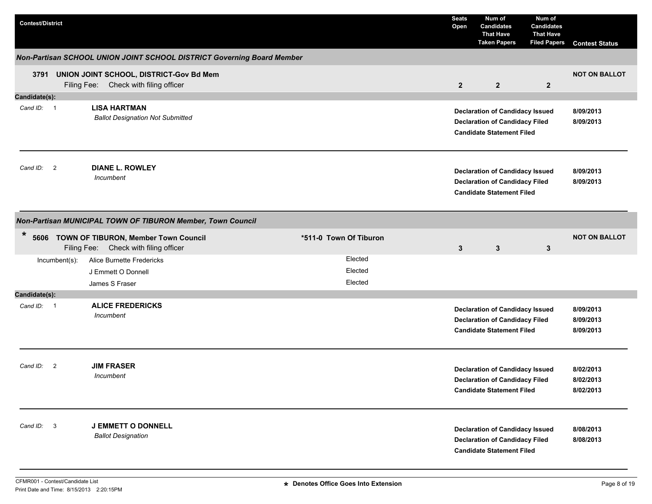| <b>Contest/District</b>    |                                                                                       |                        | <b>Seats</b><br>Open | Num of<br><b>Candidates</b><br><b>That Have</b><br><b>Taken Papers</b>                                              | Num of<br><b>Candidates</b><br><b>That Have</b><br><b>Filed Papers</b> | <b>Contest Status</b>               |
|----------------------------|---------------------------------------------------------------------------------------|------------------------|----------------------|---------------------------------------------------------------------------------------------------------------------|------------------------------------------------------------------------|-------------------------------------|
|                            | Non-Partisan SCHOOL UNION JOINT SCHOOL DISTRICT Governing Board Member                |                        |                      |                                                                                                                     |                                                                        |                                     |
|                            | 3791 UNION JOINT SCHOOL, DISTRICT-Gov Bd Mem<br>Filing Fee: Check with filing officer |                        | $\overline{2}$       | $\overline{2}$                                                                                                      | $\overline{2}$                                                         | <b>NOT ON BALLOT</b>                |
| Candidate(s):              |                                                                                       |                        |                      |                                                                                                                     |                                                                        |                                     |
| Cand ID: 1                 | <b>LISA HARTMAN</b><br><b>Ballot Designation Not Submitted</b>                        |                        |                      | <b>Declaration of Candidacy Issued</b><br><b>Declaration of Candidacy Filed</b><br><b>Candidate Statement Filed</b> |                                                                        | 8/09/2013<br>8/09/2013              |
| Cand ID: 2                 | <b>DIANE L. ROWLEY</b><br>Incumbent                                                   |                        |                      | <b>Declaration of Candidacy Issued</b><br><b>Declaration of Candidacy Filed</b><br><b>Candidate Statement Filed</b> |                                                                        | 8/09/2013<br>8/09/2013              |
|                            | Non-Partisan MUNICIPAL TOWN OF TIBURON Member, Town Council                           |                        |                      |                                                                                                                     |                                                                        |                                     |
| $\ast$                     | 5606 TOWN OF TIBURON, Member Town Council<br>Filing Fee: Check with filing officer    | *511-0 Town Of Tiburon | $\mathbf{3}$         | $\mathbf{3}$                                                                                                        | 3                                                                      | <b>NOT ON BALLOT</b>                |
| Incumbent(s):              | Alice Burnette Fredericks                                                             | Elected                |                      |                                                                                                                     |                                                                        |                                     |
|                            | J Emmett O Donnell                                                                    | Elected                |                      |                                                                                                                     |                                                                        |                                     |
|                            | James S Fraser                                                                        | Elected                |                      |                                                                                                                     |                                                                        |                                     |
| Candidate(s):              |                                                                                       |                        |                      |                                                                                                                     |                                                                        |                                     |
| Cand ID: 1                 | <b>ALICE FREDERICKS</b><br>Incumbent                                                  |                        |                      | <b>Declaration of Candidacy Issued</b><br><b>Declaration of Candidacy Filed</b><br><b>Candidate Statement Filed</b> |                                                                        | 8/09/2013<br>8/09/2013<br>8/09/2013 |
| Cand ID:<br>$\overline{2}$ | <b>JIM FRASER</b><br>Incumbent                                                        |                        |                      | <b>Declaration of Candidacy Issued</b><br><b>Declaration of Candidacy Filed</b><br><b>Candidate Statement Filed</b> |                                                                        | 8/02/2013<br>8/02/2013<br>8/02/2013 |
| Cand ID: 3                 | <b>J EMMETT O DONNELL</b><br><b>Ballot Designation</b>                                |                        |                      | <b>Declaration of Candidacy Issued</b><br><b>Declaration of Candidacy Filed</b><br><b>Candidate Statement Filed</b> |                                                                        | 8/08/2013<br>8/08/2013              |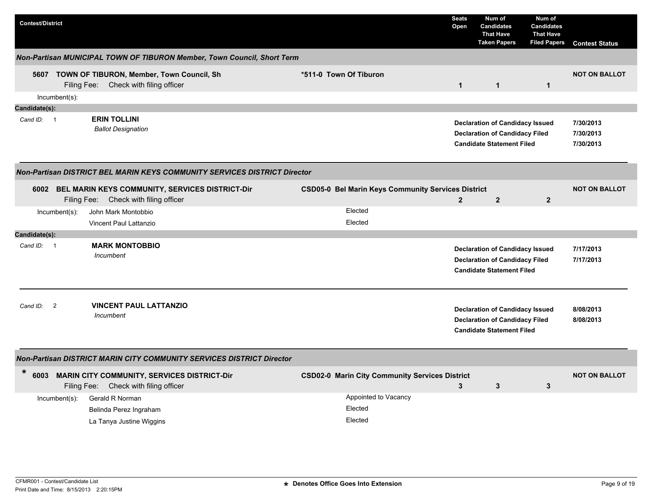| <b>Contest/District</b> |                  |                                                                                               |                                                           | <b>Seats</b><br>Open | Num of<br><b>Candidates</b><br><b>That Have</b><br><b>Taken Papers</b>                                              | Num of<br><b>Candidates</b><br><b>That Have</b><br><b>Filed Papers</b> | <b>Contest Status</b>               |
|-------------------------|------------------|-----------------------------------------------------------------------------------------------|-----------------------------------------------------------|----------------------|---------------------------------------------------------------------------------------------------------------------|------------------------------------------------------------------------|-------------------------------------|
|                         |                  | Non-Partisan MUNICIPAL TOWN OF TIBURON Member, Town Council, Short Term                       |                                                           |                      |                                                                                                                     |                                                                        |                                     |
|                         |                  | 5607 TOWN OF TIBURON, Member, Town Council, Sh<br>Filing Fee: Check with filing officer       | *511-0 Town Of Tiburon                                    | $\mathbf{1}$         | $\mathbf{1}$                                                                                                        | $\mathbf{1}$                                                           | <b>NOT ON BALLOT</b>                |
|                         | $Incumbent(s)$ : |                                                                                               |                                                           |                      |                                                                                                                     |                                                                        |                                     |
| Candidate(s):           |                  |                                                                                               |                                                           |                      |                                                                                                                     |                                                                        |                                     |
| Cand ID: 1              |                  | <b>ERIN TOLLINI</b><br><b>Ballot Designation</b>                                              |                                                           |                      | <b>Declaration of Candidacy Issued</b><br><b>Declaration of Candidacy Filed</b><br><b>Candidate Statement Filed</b> |                                                                        | 7/30/2013<br>7/30/2013<br>7/30/2013 |
|                         |                  | <b>Non-Partisan DISTRICT BEL MARIN KEYS COMMUNITY SERVICES DISTRICT Director</b>              |                                                           |                      |                                                                                                                     |                                                                        |                                     |
|                         |                  | 6002 BEL MARIN KEYS COMMUNITY, SERVICES DISTRICT-Dir<br>Filing Fee: Check with filing officer | <b>CSD05-0 Bel Marin Keys Community Services District</b> | $\overline{2}$       | 2 <sup>2</sup>                                                                                                      | $\overline{2}$                                                         | <b>NOT ON BALLOT</b>                |
|                         | $Incumbent(s)$ : | John Mark Montobbio                                                                           | Elected                                                   |                      |                                                                                                                     |                                                                        |                                     |
|                         |                  | Vincent Paul Lattanzio                                                                        | Elected                                                   |                      |                                                                                                                     |                                                                        |                                     |
| Candidate(s):           |                  |                                                                                               |                                                           |                      |                                                                                                                     |                                                                        |                                     |
| Cand ID: 1              |                  | <b>MARK MONTOBBIO</b><br>Incumbent                                                            |                                                           |                      | <b>Declaration of Candidacy Issued</b><br><b>Declaration of Candidacy Filed</b><br><b>Candidate Statement Filed</b> |                                                                        | 7/17/2013<br>7/17/2013              |
| Cand ID:                | $\overline{2}$   | <b>VINCENT PAUL LATTANZIO</b><br>Incumbent                                                    |                                                           |                      | <b>Declaration of Candidacy Issued</b><br><b>Declaration of Candidacy Filed</b><br><b>Candidate Statement Filed</b> |                                                                        | 8/08/2013<br>8/08/2013              |
|                         |                  | <b>Non-Partisan DISTRICT MARIN CITY COMMUNITY SERVICES DISTRICT Director</b>                  |                                                           |                      |                                                                                                                     |                                                                        |                                     |
| $\ast$<br>6003          |                  | <b>MARIN CITY COMMUNITY, SERVICES DISTRICT-Dir</b><br>Filing Fee: Check with filing officer   | <b>CSD02-0 Marin City Community Services District</b>     | 3                    | 3                                                                                                                   | 3                                                                      | <b>NOT ON BALLOT</b>                |
|                         | $Incumbent(s)$ : | Gerald R Norman<br>Belinda Perez Ingraham<br>La Tanya Justine Wiggins                         | Appointed to Vacancy<br>Elected<br>Elected                |                      |                                                                                                                     |                                                                        |                                     |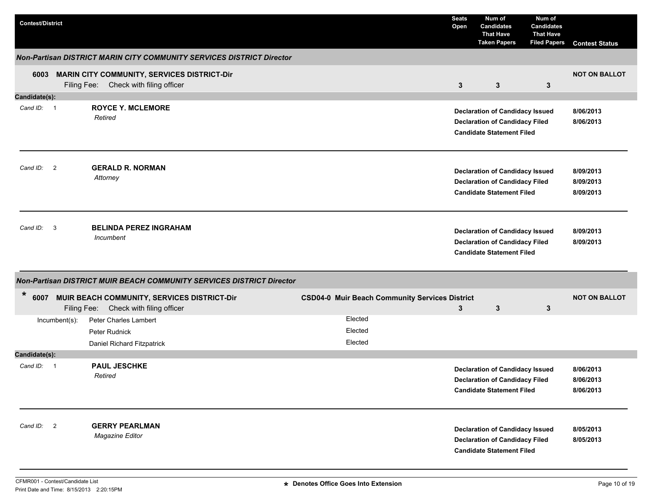| <b>Contest/District</b> |               |                                                                               |                                                       | <b>Seats</b><br>Open | Num of<br><b>Candidates</b><br><b>That Have</b><br><b>Taken Papers</b>                                              | Num of<br>Candidates<br><b>That Have</b><br><b>Filed Papers</b> | <b>Contest Status</b>               |
|-------------------------|---------------|-------------------------------------------------------------------------------|-------------------------------------------------------|----------------------|---------------------------------------------------------------------------------------------------------------------|-----------------------------------------------------------------|-------------------------------------|
|                         |               | Non-Partisan DISTRICT MARIN CITY COMMUNITY SERVICES DISTRICT Director         |                                                       |                      |                                                                                                                     |                                                                 |                                     |
|                         | Filing Fee:   | 6003 MARIN CITY COMMUNITY, SERVICES DISTRICT-Dir<br>Check with filing officer |                                                       | 3                    | $\mathbf{3}$                                                                                                        | 3                                                               | <b>NOT ON BALLOT</b>                |
| Candidate(s):           |               |                                                                               |                                                       |                      |                                                                                                                     |                                                                 |                                     |
| Cand ID: 1              |               | <b>ROYCE Y. MCLEMORE</b><br>Retired                                           |                                                       |                      | <b>Declaration of Candidacy Issued</b><br><b>Declaration of Candidacy Filed</b><br><b>Candidate Statement Filed</b> |                                                                 | 8/06/2013<br>8/06/2013              |
| Cand ID: 2              |               | <b>GERALD R. NORMAN</b><br>Attorney                                           |                                                       |                      | <b>Declaration of Candidacy Issued</b><br><b>Declaration of Candidacy Filed</b><br><b>Candidate Statement Filed</b> |                                                                 | 8/09/2013<br>8/09/2013<br>8/09/2013 |
| Cand ID: 3              |               | <b>BELINDA PEREZ INGRAHAM</b><br>Incumbent                                    |                                                       |                      | <b>Declaration of Candidacy Issued</b><br><b>Declaration of Candidacy Filed</b><br><b>Candidate Statement Filed</b> |                                                                 | 8/09/2013<br>8/09/2013              |
|                         |               | Non-Partisan DISTRICT MUIR BEACH COMMUNITY SERVICES DISTRICT Director         |                                                       |                      |                                                                                                                     |                                                                 |                                     |
| *<br>6007               | Filing Fee:   | MUIR BEACH COMMUNITY, SERVICES DISTRICT-Dir<br>Check with filing officer      | <b>CSD04-0 Muir Beach Community Services District</b> | 3                    | $\mathbf{3}$                                                                                                        | 3                                                               | <b>NOT ON BALLOT</b>                |
|                         | Incumbent(s): | Peter Charles Lambert                                                         | Elected                                               |                      |                                                                                                                     |                                                                 |                                     |
|                         |               | Peter Rudnick                                                                 | Elected                                               |                      |                                                                                                                     |                                                                 |                                     |
|                         |               | Daniel Richard Fitzpatrick                                                    | Elected                                               |                      |                                                                                                                     |                                                                 |                                     |
| Candidate(s):           |               |                                                                               |                                                       |                      |                                                                                                                     |                                                                 |                                     |
| Cand ID: 1              |               | <b>PAUL JESCHKE</b><br>Retired                                                |                                                       |                      | <b>Declaration of Candidacy Issued</b><br><b>Declaration of Candidacy Filed</b><br><b>Candidate Statement Filed</b> |                                                                 | 8/06/2013<br>8/06/2013<br>8/06/2013 |
| Cand ID: 2              |               | <b>GERRY PEARLMAN</b><br>Magazine Editor                                      |                                                       |                      | <b>Declaration of Candidacy Issued</b><br><b>Declaration of Candidacy Filed</b><br><b>Candidate Statement Filed</b> |                                                                 | 8/05/2013<br>8/05/2013              |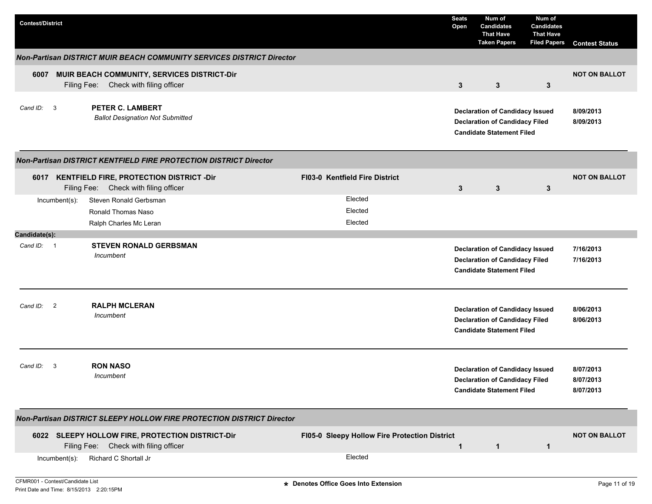| <b>Contest/District</b> |                  |                                                                                           |                                               | <b>Seats</b><br>Open | Num of<br><b>Candidates</b><br><b>That Have</b><br><b>Taken Papers</b>                                              | Num of<br>Candidates<br><b>That Have</b><br><b>Filed Papers</b> | <b>Contest Status</b>               |
|-------------------------|------------------|-------------------------------------------------------------------------------------------|-----------------------------------------------|----------------------|---------------------------------------------------------------------------------------------------------------------|-----------------------------------------------------------------|-------------------------------------|
|                         |                  | <b>Non-Partisan DISTRICT MUIR BEACH COMMUNITY SERVICES DISTRICT Director</b>              |                                               |                      |                                                                                                                     |                                                                 |                                     |
| 6007                    |                  | MUIR BEACH COMMUNITY, SERVICES DISTRICT-Dir<br>Filing Fee: Check with filing officer      |                                               | 3                    | 3                                                                                                                   | $\mathbf{3}$                                                    | <b>NOT ON BALLOT</b>                |
| Cand ID: 3              |                  | <b>PETER C. LAMBERT</b><br><b>Ballot Designation Not Submitted</b>                        |                                               |                      | <b>Declaration of Candidacy Issued</b><br><b>Declaration of Candidacy Filed</b><br><b>Candidate Statement Filed</b> |                                                                 | 8/09/2013<br>8/09/2013              |
|                         |                  | <b>Non-Partisan DISTRICT KENTFIELD FIRE PROTECTION DISTRICT Director</b>                  |                                               |                      |                                                                                                                     |                                                                 |                                     |
| 6017                    |                  | <b>KENTFIELD FIRE, PROTECTION DISTRICT -Dir</b><br>Filing Fee: Check with filing officer  | <b>FI03-0 Kentfield Fire District</b>         | 3                    | 3                                                                                                                   | $\mathbf{3}$                                                    | <b>NOT ON BALLOT</b>                |
|                         | Incumbent(s):    | Steven Ronald Gerbsman<br>Ronald Thomas Naso<br>Ralph Charles Mc Leran                    | Elected<br>Elected<br>Elected                 |                      |                                                                                                                     |                                                                 |                                     |
| Candidate(s):           |                  |                                                                                           |                                               |                      |                                                                                                                     |                                                                 |                                     |
| Cand ID: 1              |                  | <b>STEVEN RONALD GERBSMAN</b><br>Incumbent                                                |                                               |                      | <b>Declaration of Candidacy Issued</b><br><b>Declaration of Candidacy Filed</b><br><b>Candidate Statement Filed</b> |                                                                 | 7/16/2013<br>7/16/2013              |
| Cand ID: 2              |                  | <b>RALPH MCLERAN</b><br>Incumbent                                                         |                                               |                      | <b>Declaration of Candidacy Issued</b><br><b>Declaration of Candidacy Filed</b><br><b>Candidate Statement Filed</b> |                                                                 | 8/06/2013<br>8/06/2013              |
| Cand ID:                | 3                | <b>RON NASO</b><br>Incumbent                                                              |                                               |                      | <b>Declaration of Candidacy Issued</b><br><b>Declaration of Candidacy Filed</b><br><b>Candidate Statement Filed</b> |                                                                 | 8/07/2013<br>8/07/2013<br>8/07/2013 |
|                         |                  | Non-Partisan DISTRICT SLEEPY HOLLOW FIRE PROTECTION DISTRICT Director                     |                                               |                      |                                                                                                                     |                                                                 |                                     |
|                         |                  | 6022 SLEEPY HOLLOW FIRE, PROTECTION DISTRICT-Dir<br>Filing Fee: Check with filing officer | FI05-0 Sleepy Hollow Fire Protection District | $\mathbf 1$          | $\mathbf{1}$                                                                                                        | $\mathbf{1}$                                                    | <b>NOT ON BALLOT</b>                |
|                         | $Incumbent(s)$ : | Richard C Shortall Jr                                                                     | Elected                                       |                      |                                                                                                                     |                                                                 |                                     |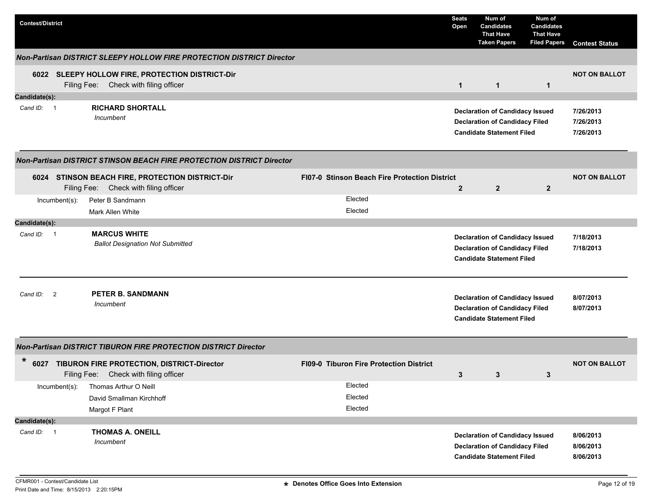| <b>Contest/District</b> |                |                                                                                           |                                                | <b>Seats</b><br>Open | Num of<br><b>Candidates</b><br><b>That Have</b><br><b>Taken Papers</b>                                              | Num of<br><b>Candidates</b><br><b>That Have</b><br><b>Filed Papers</b> | <b>Contest Status</b>               |
|-------------------------|----------------|-------------------------------------------------------------------------------------------|------------------------------------------------|----------------------|---------------------------------------------------------------------------------------------------------------------|------------------------------------------------------------------------|-------------------------------------|
|                         |                | Non-Partisan DISTRICT SLEEPY HOLLOW FIRE PROTECTION DISTRICT Director                     |                                                |                      |                                                                                                                     |                                                                        |                                     |
|                         |                | 6022 SLEEPY HOLLOW FIRE, PROTECTION DISTRICT-Dir<br>Filing Fee: Check with filing officer |                                                | $\mathbf{1}$         | $\mathbf{1}$                                                                                                        | $\mathbf{1}$                                                           | <b>NOT ON BALLOT</b>                |
| Candidate(s):           |                |                                                                                           |                                                |                      |                                                                                                                     |                                                                        |                                     |
| Cand ID: 1              |                | <b>RICHARD SHORTALL</b><br>Incumbent                                                      |                                                |                      | <b>Declaration of Candidacy Issued</b><br><b>Declaration of Candidacy Filed</b><br><b>Candidate Statement Filed</b> |                                                                        | 7/26/2013<br>7/26/2013<br>7/26/2013 |
|                         |                | <b>Non-Partisan DISTRICT STINSON BEACH FIRE PROTECTION DISTRICT Director</b>              |                                                |                      |                                                                                                                     |                                                                        |                                     |
|                         |                | 6024 STINSON BEACH FIRE, PROTECTION DISTRICT-Dir<br>Filing Fee: Check with filing officer | FI07-0 Stinson Beach Fire Protection District  | $\overline{2}$       | $\overline{2}$                                                                                                      | $\overline{2}$                                                         | <b>NOT ON BALLOT</b>                |
|                         | Incumbent(s):  | Peter B Sandmann                                                                          | Elected                                        |                      |                                                                                                                     |                                                                        |                                     |
|                         |                | Mark Allen White                                                                          | Elected                                        |                      |                                                                                                                     |                                                                        |                                     |
| Candidate(s):           |                |                                                                                           |                                                |                      |                                                                                                                     |                                                                        |                                     |
| Cand ID: 1              |                | <b>MARCUS WHITE</b><br><b>Ballot Designation Not Submitted</b>                            |                                                |                      | <b>Declaration of Candidacy Issued</b><br><b>Declaration of Candidacy Filed</b><br><b>Candidate Statement Filed</b> |                                                                        | 7/18/2013<br>7/18/2013              |
| Cand ID:                | $\overline{2}$ | PETER B. SANDMANN<br>Incumbent                                                            |                                                |                      | <b>Declaration of Candidacy Issued</b><br><b>Declaration of Candidacy Filed</b><br><b>Candidate Statement Filed</b> |                                                                        | 8/07/2013<br>8/07/2013              |
|                         |                | <b>Non-Partisan DISTRICT TIBURON FIRE PROTECTION DISTRICT Director</b>                    |                                                |                      |                                                                                                                     |                                                                        |                                     |
| $\ast$                  |                | 6027 TIBURON FIRE PROTECTION, DISTRICT-Director<br>Filing Fee: Check with filing officer  | <b>FI09-0 Tiburon Fire Protection District</b> | 3                    | 3                                                                                                                   | 3                                                                      | <b>NOT ON BALLOT</b>                |
|                         | Incumbent(s):  | Thomas Arthur O Neill                                                                     | Elected                                        |                      |                                                                                                                     |                                                                        |                                     |
|                         |                | David Smallman Kirchhoff                                                                  | Elected                                        |                      |                                                                                                                     |                                                                        |                                     |
|                         |                | Margot F Plant                                                                            | Elected                                        |                      |                                                                                                                     |                                                                        |                                     |
| Candidate(s):           |                |                                                                                           |                                                |                      |                                                                                                                     |                                                                        |                                     |
| Cand ID: 1              |                | <b>THOMAS A. ONEILL</b><br>Incumbent                                                      |                                                |                      | <b>Declaration of Candidacy Issued</b><br><b>Declaration of Candidacy Filed</b><br><b>Candidate Statement Filed</b> |                                                                        | 8/06/2013<br>8/06/2013<br>8/06/2013 |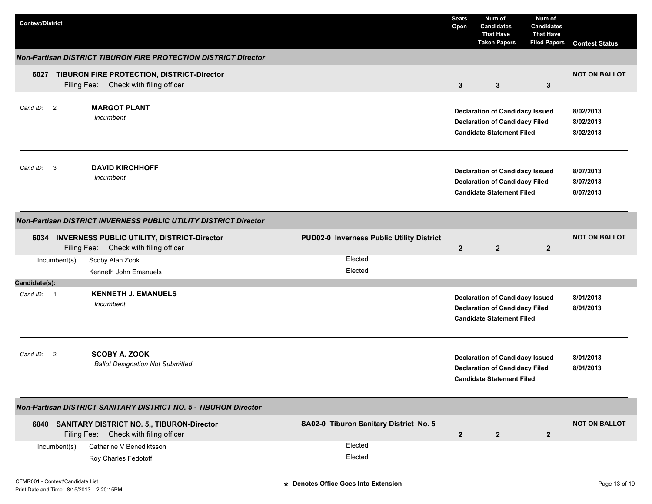| <b>Contest/District</b>                                                                                                                | <b>Seats</b><br>Open | Num of<br><b>Candidates</b><br><b>That Have</b><br><b>Taken Papers</b>                                              | Num of<br><b>Candidates</b><br><b>That Have</b><br><b>Filed Papers</b> | <b>Contest Status</b>               |
|----------------------------------------------------------------------------------------------------------------------------------------|----------------------|---------------------------------------------------------------------------------------------------------------------|------------------------------------------------------------------------|-------------------------------------|
| <b>Non-Partisan DISTRICT TIBURON FIRE PROTECTION DISTRICT Director</b>                                                                 |                      |                                                                                                                     |                                                                        |                                     |
| 6027 TIBURON FIRE PROTECTION, DISTRICT-Director<br>Check with filing officer<br>Filing Fee:                                            | $\mathbf{3}$         | $\mathbf{3}$                                                                                                        | 3                                                                      | <b>NOT ON BALLOT</b>                |
| <b>MARGOT PLANT</b><br>Cand ID: 2<br>Incumbent                                                                                         |                      | <b>Declaration of Candidacy Issued</b><br><b>Declaration of Candidacy Filed</b><br><b>Candidate Statement Filed</b> |                                                                        | 8/02/2013<br>8/02/2013<br>8/02/2013 |
| <b>DAVID KIRCHHOFF</b><br>Cand ID: 3<br>Incumbent                                                                                      |                      | <b>Declaration of Candidacy Issued</b><br><b>Declaration of Candidacy Filed</b><br><b>Candidate Statement Filed</b> |                                                                        | 8/07/2013<br>8/07/2013<br>8/07/2013 |
| Non-Partisan DISTRICT INVERNESS PUBLIC UTILITY DISTRICT Director                                                                       |                      |                                                                                                                     |                                                                        |                                     |
| PUD02-0 Inverness Public Utility District<br>6034 INVERNESS PUBLIC UTILITY, DISTRICT-Director<br>Filing Fee: Check with filing officer | $\overline{2}$       | $\overline{2}$                                                                                                      | $\overline{2}$                                                         | <b>NOT ON BALLOT</b>                |
| Elected<br>Incumbent(s):<br>Scoby Alan Zook                                                                                            |                      |                                                                                                                     |                                                                        |                                     |
| Elected<br>Kenneth John Emanuels<br>Candidate(s):                                                                                      |                      |                                                                                                                     |                                                                        |                                     |
| <b>KENNETH J. EMANUELS</b><br>Cand ID: 1<br>Incumbent                                                                                  |                      | <b>Declaration of Candidacy Issued</b><br><b>Declaration of Candidacy Filed</b><br><b>Candidate Statement Filed</b> |                                                                        | 8/01/2013<br>8/01/2013              |
| <b>SCOBY A. ZOOK</b><br>Cand ID: 2<br><b>Ballot Designation Not Submitted</b>                                                          |                      | <b>Declaration of Candidacy Issued</b><br><b>Declaration of Candidacy Filed</b><br><b>Candidate Statement Filed</b> |                                                                        | 8/01/2013<br>8/01/2013              |
| Non-Partisan DISTRICT SANITARY DISTRICT NO. 5 - TIBURON Director                                                                       |                      |                                                                                                                     |                                                                        |                                     |
| 6040 SANITARY DISTRICT NO. 5,, TIBURON-Director<br>SA02-0 Tiburon Sanitary District No. 5<br>Filing Fee: Check with filing officer     | $\mathbf{2}$         | $\overline{2}$                                                                                                      | $\overline{2}$                                                         | <b>NOT ON BALLOT</b>                |
| Elected<br>Catharine V Benediktsson<br>Incumbent(s):<br>Elected<br>Roy Charles Fedotoff                                                |                      |                                                                                                                     |                                                                        |                                     |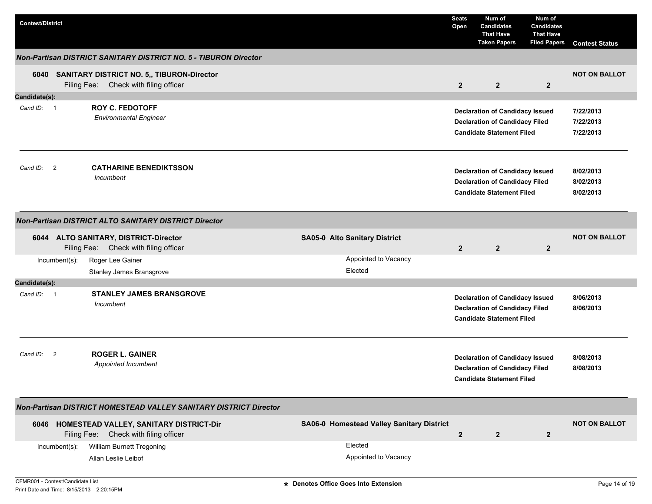| <b>Contest/District</b>                                                                  |                                           | <b>Seats</b><br>Open | Num of<br><b>Candidates</b><br><b>That Have</b><br><b>Taken Papers</b>                                              | Num of<br><b>Candidates</b><br><b>That Have</b><br><b>Filed Papers</b> | <b>Contest Status</b>               |
|------------------------------------------------------------------------------------------|-------------------------------------------|----------------------|---------------------------------------------------------------------------------------------------------------------|------------------------------------------------------------------------|-------------------------------------|
| <b>Non-Partisan DISTRICT SANITARY DISTRICT NO. 5 - TIBURON Director</b>                  |                                           |                      |                                                                                                                     |                                                                        |                                     |
| 6040 SANITARY DISTRICT NO. 5,, TIBURON-Director<br>Filing Fee: Check with filing officer |                                           | $\overline{2}$       | $\overline{2}$                                                                                                      | $\overline{2}$                                                         | <b>NOT ON BALLOT</b>                |
| Candidate(s):                                                                            |                                           |                      |                                                                                                                     |                                                                        |                                     |
| <b>ROY C. FEDOTOFF</b><br>Cand ID: 1<br><b>Environmental Engineer</b>                    |                                           |                      | <b>Declaration of Candidacy Issued</b><br><b>Declaration of Candidacy Filed</b><br><b>Candidate Statement Filed</b> |                                                                        | 7/22/2013<br>7/22/2013<br>7/22/2013 |
| <b>CATHARINE BENEDIKTSSON</b><br>Cand ID: 2<br>Incumbent                                 |                                           |                      | <b>Declaration of Candidacy Issued</b><br><b>Declaration of Candidacy Filed</b><br><b>Candidate Statement Filed</b> |                                                                        | 8/02/2013<br>8/02/2013<br>8/02/2013 |
| <b>Non-Partisan DISTRICT ALTO SANITARY DISTRICT Director</b>                             |                                           |                      |                                                                                                                     |                                                                        |                                     |
| 6044 ALTO SANITARY, DISTRICT-Director<br>Filing Fee: Check with filing officer           | <b>SA05-0 Alto Sanitary District</b>      | $\overline{2}$       | $\overline{2}$                                                                                                      | $\overline{2}$                                                         | <b>NOT ON BALLOT</b>                |
| Incumbent(s):<br>Roger Lee Gainer                                                        | Appointed to Vacancy                      |                      |                                                                                                                     |                                                                        |                                     |
| Stanley James Bransgrove                                                                 | Elected                                   |                      |                                                                                                                     |                                                                        |                                     |
| Candidate(s):                                                                            |                                           |                      |                                                                                                                     |                                                                        |                                     |
| <b>STANLEY JAMES BRANSGROVE</b><br>Cand ID: 1<br>Incumbent                               |                                           |                      | <b>Declaration of Candidacy Issued</b><br><b>Declaration of Candidacy Filed</b><br><b>Candidate Statement Filed</b> |                                                                        | 8/06/2013<br>8/06/2013              |
| <b>ROGER L. GAINER</b><br>Cand ID:<br>$\overline{2}$<br>Appointed Incumbent              |                                           |                      | <b>Declaration of Candidacy Issued</b><br><b>Declaration of Candidacy Filed</b><br><b>Candidate Statement Filed</b> |                                                                        | 8/08/2013<br>8/08/2013              |
| Non-Partisan DISTRICT HOMESTEAD VALLEY SANITARY DISTRICT Director                        |                                           |                      |                                                                                                                     |                                                                        |                                     |
| 6046 HOMESTEAD VALLEY, SANITARY DISTRICT-Dir<br>Filing Fee: Check with filing officer    | SA06-0 Homestead Valley Sanitary District | $\overline{2}$       | $\overline{2}$                                                                                                      | $\overline{2}$                                                         | <b>NOT ON BALLOT</b>                |
| William Burnett Tregoning<br>Incumbent(s):<br>Allan Leslie Leibof                        | Elected<br>Appointed to Vacancy           |                      |                                                                                                                     |                                                                        |                                     |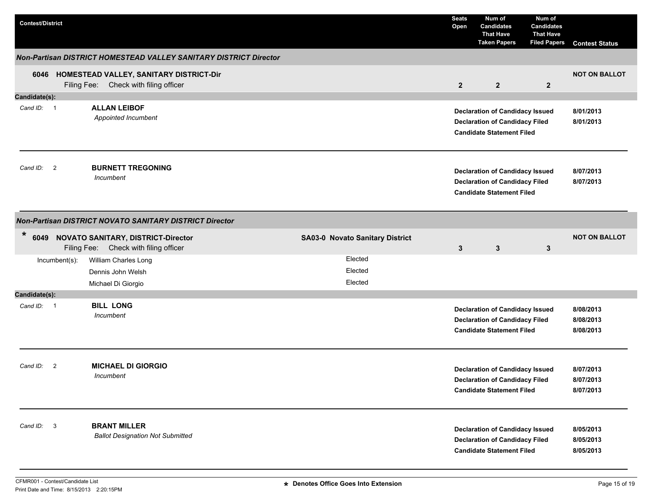| <b>Contest/District</b> |                |                                                                                       |                                 | <b>Seats</b><br>Open | Num of<br><b>Candidates</b><br><b>That Have</b><br><b>Taken Papers</b>                                              | Num of<br><b>Candidates</b><br><b>That Have</b><br><b>Filed Papers</b> | <b>Contest Status</b>               |
|-------------------------|----------------|---------------------------------------------------------------------------------------|---------------------------------|----------------------|---------------------------------------------------------------------------------------------------------------------|------------------------------------------------------------------------|-------------------------------------|
|                         |                | <b>Non-Partisan DISTRICT HOMESTEAD VALLEY SANITARY DISTRICT Director</b>              |                                 |                      |                                                                                                                     |                                                                        |                                     |
|                         |                | 6046 HOMESTEAD VALLEY, SANITARY DISTRICT-Dir<br>Filing Fee: Check with filing officer |                                 | $\overline{2}$       | $\overline{2}$                                                                                                      | $\overline{2}$                                                         | <b>NOT ON BALLOT</b>                |
| Candidate(s):           |                |                                                                                       |                                 |                      |                                                                                                                     |                                                                        |                                     |
| Cand ID: 1              |                | <b>ALLAN LEIBOF</b><br>Appointed Incumbent                                            |                                 |                      | <b>Declaration of Candidacy Issued</b><br><b>Declaration of Candidacy Filed</b><br><b>Candidate Statement Filed</b> |                                                                        | 8/01/2013<br>8/01/2013              |
| Cand ID: 2              |                | <b>BURNETT TREGONING</b><br>Incumbent                                                 |                                 |                      | <b>Declaration of Candidacy Issued</b><br><b>Declaration of Candidacy Filed</b><br><b>Candidate Statement Filed</b> |                                                                        | 8/07/2013<br>8/07/2013              |
|                         |                | Non-Partisan DISTRICT NOVATO SANITARY DISTRICT Director                               |                                 |                      |                                                                                                                     |                                                                        |                                     |
| $\ast$<br>6049          |                | <b>NOVATO SANITARY, DISTRICT-Director</b><br>Filing Fee: Check with filing officer    | SA03-0 Novato Sanitary District | 3                    | $\mathbf{3}$                                                                                                        | 3                                                                      | <b>NOT ON BALLOT</b>                |
|                         | Incumbent(s):  | William Charles Long<br>Dennis John Welsh                                             | Elected<br>Elected              |                      |                                                                                                                     |                                                                        |                                     |
|                         |                | Michael Di Giorgio                                                                    | Elected                         |                      |                                                                                                                     |                                                                        |                                     |
| Candidate(s):           |                |                                                                                       |                                 |                      |                                                                                                                     |                                                                        |                                     |
| Cand ID: 1              |                | <b>BILL LONG</b><br>Incumbent                                                         |                                 |                      | <b>Declaration of Candidacy Issued</b><br><b>Declaration of Candidacy Filed</b><br><b>Candidate Statement Filed</b> |                                                                        | 8/08/2013<br>8/08/2013<br>8/08/2013 |
| Cand ID:                | $\overline{2}$ | <b>MICHAEL DI GIORGIO</b><br>Incumbent                                                |                                 |                      | <b>Declaration of Candidacy Issued</b><br><b>Declaration of Candidacy Filed</b><br><b>Candidate Statement Filed</b> |                                                                        | 8/07/2013<br>8/07/2013<br>8/07/2013 |
| Cand ID:                | $\mathbf{3}$   | <b>BRANT MILLER</b><br><b>Ballot Designation Not Submitted</b>                        |                                 |                      | <b>Declaration of Candidacy Issued</b><br><b>Declaration of Candidacy Filed</b><br><b>Candidate Statement Filed</b> |                                                                        | 8/05/2013<br>8/05/2013<br>8/05/2013 |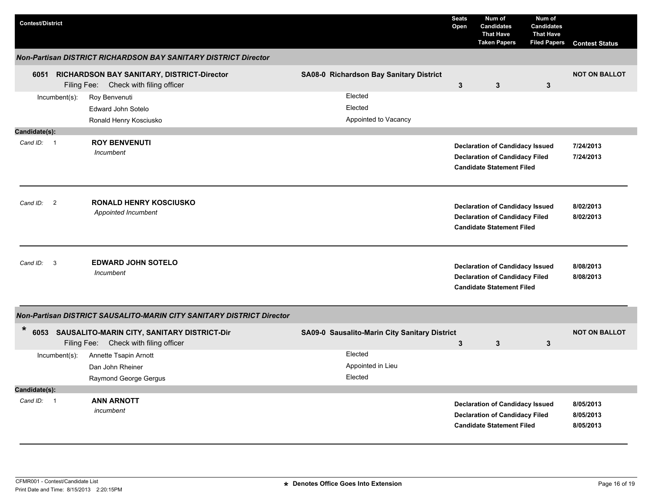| <b>Contest/District</b>    |                                                                                           |                                               | <b>Seats</b><br>Open | Num of<br><b>Candidates</b><br><b>That Have</b><br><b>Taken Papers</b>                                              | Num of<br><b>Candidates</b><br><b>That Have</b><br><b>Filed Papers</b> | <b>Contest Status</b>               |
|----------------------------|-------------------------------------------------------------------------------------------|-----------------------------------------------|----------------------|---------------------------------------------------------------------------------------------------------------------|------------------------------------------------------------------------|-------------------------------------|
|                            | <b>Non-Partisan DISTRICT RICHARDSON BAY SANITARY DISTRICT Director</b>                    |                                               |                      |                                                                                                                     |                                                                        |                                     |
|                            | 6051 RICHARDSON BAY SANITARY, DISTRICT-Director<br>Filing Fee: Check with filing officer  | SA08-0 Richardson Bay Sanitary District       | $\mathbf{3}$         | $\mathbf{3}$                                                                                                        | $\mathbf{3}$                                                           | <b>NOT ON BALLOT</b>                |
| $Incumbent(s)$ :           | Roy Benvenuti<br>Edward John Sotelo<br>Ronald Henry Kosciusko                             | Elected<br>Elected<br>Appointed to Vacancy    |                      |                                                                                                                     |                                                                        |                                     |
| Candidate(s):              |                                                                                           |                                               |                      |                                                                                                                     |                                                                        |                                     |
| Cand $ID: 1$               | <b>ROY BENVENUTI</b><br>Incumbent                                                         |                                               |                      | <b>Declaration of Candidacy Issued</b><br><b>Declaration of Candidacy Filed</b><br><b>Candidate Statement Filed</b> |                                                                        | 7/24/2013<br>7/24/2013              |
| $\overline{2}$<br>Cand ID: | <b>RONALD HENRY KOSCIUSKO</b><br>Appointed Incumbent                                      |                                               |                      | <b>Declaration of Candidacy Issued</b><br><b>Declaration of Candidacy Filed</b><br><b>Candidate Statement Filed</b> |                                                                        | 8/02/2013<br>8/02/2013              |
| Cand ID:<br>3              | <b>EDWARD JOHN SOTELO</b><br>Incumbent                                                    |                                               |                      | <b>Declaration of Candidacy Issued</b><br><b>Declaration of Candidacy Filed</b><br><b>Candidate Statement Filed</b> |                                                                        | 8/08/2013<br>8/08/2013              |
|                            | Non-Partisan DISTRICT SAUSALITO-MARIN CITY SANITARY DISTRICT Director                     |                                               |                      |                                                                                                                     |                                                                        |                                     |
| $\ast$                     | 6053 SAUSALITO-MARIN CITY, SANITARY DISTRICT-Dir<br>Filing Fee: Check with filing officer | SA09-0 Sausalito-Marin City Sanitary District | 3                    | 3                                                                                                                   | 3                                                                      | <b>NOT ON BALLOT</b>                |
| Incumbent(s):              | Annette Tsapin Arnott                                                                     | Elected                                       |                      |                                                                                                                     |                                                                        |                                     |
|                            | Dan John Rheiner                                                                          | Appointed in Lieu<br>Elected                  |                      |                                                                                                                     |                                                                        |                                     |
| Candidate(s):              | Raymond George Gergus                                                                     |                                               |                      |                                                                                                                     |                                                                        |                                     |
| Cand ID: 1                 | <b>ANN ARNOTT</b><br>incumbent                                                            |                                               |                      | <b>Declaration of Candidacy Issued</b><br><b>Declaration of Candidacy Filed</b><br><b>Candidate Statement Filed</b> |                                                                        | 8/05/2013<br>8/05/2013<br>8/05/2013 |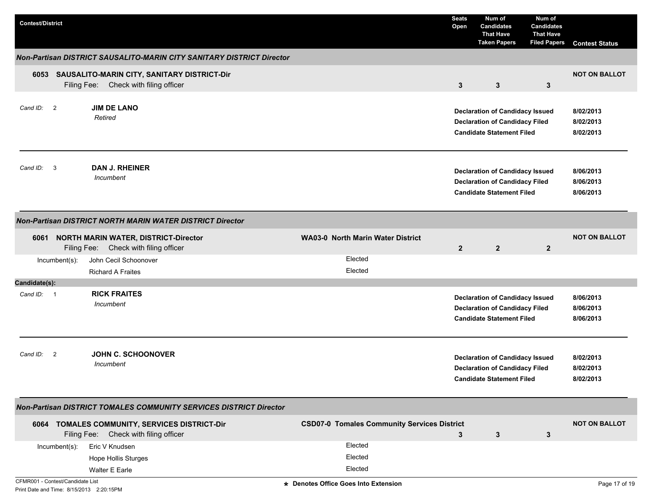| <b>Contest/District</b>          |               |                                                                                           |                                                    | <b>Seats</b><br>Open | Num of<br><b>Candidates</b><br><b>That Have</b><br><b>Taken Papers</b>                                              | Num of<br><b>Candidates</b><br><b>That Have</b><br><b>Filed Papers</b> | <b>Contest Status</b>               |
|----------------------------------|---------------|-------------------------------------------------------------------------------------------|----------------------------------------------------|----------------------|---------------------------------------------------------------------------------------------------------------------|------------------------------------------------------------------------|-------------------------------------|
|                                  |               | Non-Partisan DISTRICT SAUSALITO-MARIN CITY SANITARY DISTRICT Director                     |                                                    |                      |                                                                                                                     |                                                                        |                                     |
|                                  |               | 6053 SAUSALITO-MARIN CITY, SANITARY DISTRICT-Dir<br>Filing Fee: Check with filing officer |                                                    | $\mathbf{3}$         | 3                                                                                                                   | 3                                                                      | <b>NOT ON BALLOT</b>                |
| Cand ID: 2                       |               | <b>JIM DE LANO</b><br>Retired                                                             |                                                    |                      | <b>Declaration of Candidacy Issued</b><br><b>Declaration of Candidacy Filed</b><br><b>Candidate Statement Filed</b> |                                                                        | 8/02/2013<br>8/02/2013<br>8/02/2013 |
| Cand ID:                         | 3             | <b>DAN J. RHEINER</b><br>Incumbent                                                        |                                                    |                      | <b>Declaration of Candidacy Issued</b><br><b>Declaration of Candidacy Filed</b><br><b>Candidate Statement Filed</b> |                                                                        | 8/06/2013<br>8/06/2013<br>8/06/2013 |
|                                  |               | <b>Non-Partisan DISTRICT NORTH MARIN WATER DISTRICT Director</b>                          |                                                    |                      |                                                                                                                     |                                                                        |                                     |
|                                  |               | 6061 NORTH MARIN WATER, DISTRICT-Director<br>Filing Fee: Check with filing officer        | <b>WA03-0 North Marin Water District</b>           | $\overline{2}$       | $\overline{2}$                                                                                                      | $\overline{2}$                                                         | <b>NOT ON BALLOT</b>                |
|                                  | Incumbent(s): | John Cecil Schoonover<br><b>Richard A Fraites</b>                                         | Elected<br>Elected                                 |                      |                                                                                                                     |                                                                        |                                     |
| Candidate(s):                    |               |                                                                                           |                                                    |                      |                                                                                                                     |                                                                        |                                     |
| Cand ID: 1                       |               | <b>RICK FRAITES</b><br>Incumbent                                                          |                                                    |                      | <b>Declaration of Candidacy Issued</b><br><b>Declaration of Candidacy Filed</b><br><b>Candidate Statement Filed</b> |                                                                        | 8/06/2013<br>8/06/2013<br>8/06/2013 |
| Cand ID: 2                       |               | <b>JOHN C. SCHOONOVER</b><br>Incumbent                                                    |                                                    |                      | <b>Declaration of Candidacy Issued</b><br><b>Declaration of Candidacy Filed</b><br><b>Candidate Statement Filed</b> |                                                                        | 8/02/2013<br>8/02/2013<br>8/02/2013 |
|                                  |               | Non-Partisan DISTRICT TOMALES COMMUNITY SERVICES DISTRICT Director                        |                                                    |                      |                                                                                                                     |                                                                        |                                     |
|                                  |               | 6064 TOMALES COMMUNITY, SERVICES DISTRICT-Dir<br>Filing Fee: Check with filing officer    | <b>CSD07-0 Tomales Community Services District</b> | $\mathbf{3}$         | $\mathbf{3}$                                                                                                        | 3                                                                      | <b>NOT ON BALLOT</b>                |
|                                  | Incumbent(s): | Eric V Knudsen                                                                            | Elected                                            |                      |                                                                                                                     |                                                                        |                                     |
|                                  |               | <b>Hope Hollis Sturges</b>                                                                | Elected                                            |                      |                                                                                                                     |                                                                        |                                     |
|                                  |               | Walter E Earle                                                                            | Elected                                            |                      |                                                                                                                     |                                                                        |                                     |
| CFMR001 - Contest/Candidate List |               |                                                                                           | * Denotes Office Goes Into Extension               |                      |                                                                                                                     |                                                                        | Page 17 of 19                       |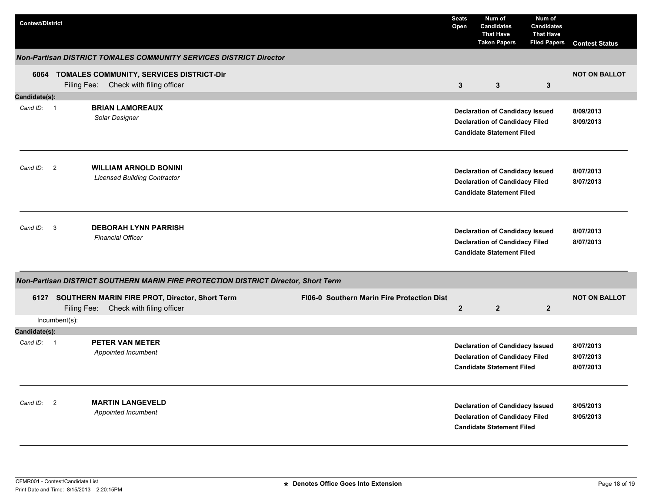| <b>Contest/District</b> |               |                                                                                              |                                            | <b>Seats</b><br>Open | Num of<br><b>Candidates</b><br><b>That Have</b><br><b>Taken Papers</b>                                              | Num of<br><b>Candidates</b><br><b>That Have</b><br><b>Filed Papers</b> | <b>Contest Status</b>               |
|-------------------------|---------------|----------------------------------------------------------------------------------------------|--------------------------------------------|----------------------|---------------------------------------------------------------------------------------------------------------------|------------------------------------------------------------------------|-------------------------------------|
|                         |               | <b>Non-Partisan DISTRICT TOMALES COMMUNITY SERVICES DISTRICT Director</b>                    |                                            |                      |                                                                                                                     |                                                                        |                                     |
|                         |               | 6064 TOMALES COMMUNITY, SERVICES DISTRICT-Dir<br>Filing Fee: Check with filing officer       |                                            | $\mathbf{3}$         | $\mathbf{3}$                                                                                                        | $\mathbf{3}$                                                           | <b>NOT ON BALLOT</b>                |
| Candidate(s):           |               |                                                                                              |                                            |                      |                                                                                                                     |                                                                        |                                     |
| Cand ID: 1              |               | <b>BRIAN LAMOREAUX</b><br>Solar Designer                                                     |                                            |                      | <b>Declaration of Candidacy Issued</b><br><b>Declaration of Candidacy Filed</b><br><b>Candidate Statement Filed</b> |                                                                        | 8/09/2013<br>8/09/2013              |
| Cand ID: 2              |               | <b>WILLIAM ARNOLD BONINI</b><br><b>Licensed Building Contractor</b>                          |                                            |                      | <b>Declaration of Candidacy Issued</b><br><b>Declaration of Candidacy Filed</b><br><b>Candidate Statement Filed</b> |                                                                        | 8/07/2013<br>8/07/2013              |
| Cand ID: 3              |               | <b>DEBORAH LYNN PARRISH</b><br><b>Financial Officer</b>                                      |                                            |                      | <b>Declaration of Candidacy Issued</b><br><b>Declaration of Candidacy Filed</b><br><b>Candidate Statement Filed</b> |                                                                        | 8/07/2013<br>8/07/2013              |
|                         |               | Non-Partisan DISTRICT SOUTHERN MARIN FIRE PROTECTION DISTRICT Director, Short Term           |                                            |                      |                                                                                                                     |                                                                        |                                     |
|                         |               | 6127 SOUTHERN MARIN FIRE PROT, Director, Short Term<br>Filing Fee: Check with filing officer | FI06-0 Southern Marin Fire Protection Dist | $\overline{2}$       | $\overline{2}$                                                                                                      | $\overline{2}$                                                         | <b>NOT ON BALLOT</b>                |
|                         | Incumbent(s): |                                                                                              |                                            |                      |                                                                                                                     |                                                                        |                                     |
| Candidate(s):           |               |                                                                                              |                                            |                      |                                                                                                                     |                                                                        |                                     |
| Cand ID: 1              |               | <b>PETER VAN METER</b><br>Appointed Incumbent                                                |                                            |                      | <b>Declaration of Candidacy Issued</b><br><b>Declaration of Candidacy Filed</b><br><b>Candidate Statement Filed</b> |                                                                        | 8/07/2013<br>8/07/2013<br>8/07/2013 |
| Cand ID:                | 2             | <b>MARTIN LANGEVELD</b><br>Appointed Incumbent                                               |                                            |                      | <b>Declaration of Candidacy Issued</b><br><b>Declaration of Candidacy Filed</b><br><b>Candidate Statement Filed</b> |                                                                        | 8/05/2013<br>8/05/2013              |